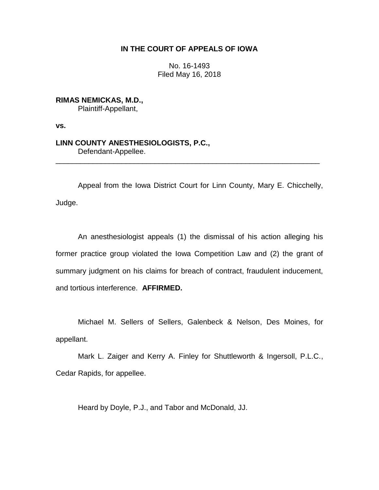## **IN THE COURT OF APPEALS OF IOWA**

No. 16-1493 Filed May 16, 2018

**RIMAS NEMICKAS, M.D.,**

Plaintiff-Appellant,

**vs.**

**LINN COUNTY ANESTHESIOLOGISTS, P.C.,** Defendant-Appellee.

Appeal from the Iowa District Court for Linn County, Mary E. Chicchelly, Judge.

\_\_\_\_\_\_\_\_\_\_\_\_\_\_\_\_\_\_\_\_\_\_\_\_\_\_\_\_\_\_\_\_\_\_\_\_\_\_\_\_\_\_\_\_\_\_\_\_\_\_\_\_\_\_\_\_\_\_\_\_\_\_\_\_

An anesthesiologist appeals (1) the dismissal of his action alleging his former practice group violated the Iowa Competition Law and (2) the grant of summary judgment on his claims for breach of contract, fraudulent inducement, and tortious interference. **AFFIRMED.** 

Michael M. Sellers of Sellers, Galenbeck & Nelson, Des Moines, for appellant.

Mark L. Zaiger and Kerry A. Finley for Shuttleworth & Ingersoll, P.L.C., Cedar Rapids, for appellee.

Heard by Doyle, P.J., and Tabor and McDonald, JJ.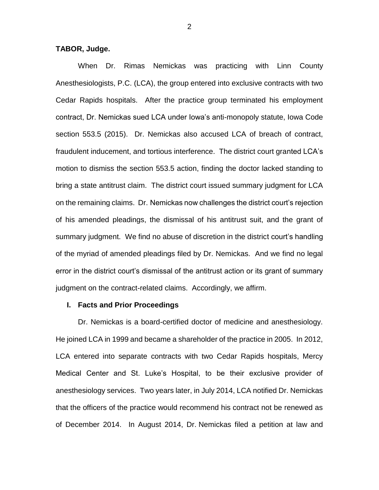### **TABOR, Judge.**

When Dr. Rimas Nemickas was practicing with Linn County Anesthesiologists, P.C. (LCA), the group entered into exclusive contracts with two Cedar Rapids hospitals. After the practice group terminated his employment contract, Dr. Nemickas sued LCA under Iowa's anti-monopoly statute, Iowa Code section 553.5 (2015). Dr. Nemickas also accused LCA of breach of contract, fraudulent inducement, and tortious interference. The district court granted LCA's motion to dismiss the section 553.5 action, finding the doctor lacked standing to bring a state antitrust claim. The district court issued summary judgment for LCA on the remaining claims. Dr. Nemickas now challenges the district court's rejection of his amended pleadings, the dismissal of his antitrust suit, and the grant of summary judgment. We find no abuse of discretion in the district court's handling of the myriad of amended pleadings filed by Dr. Nemickas. And we find no legal error in the district court's dismissal of the antitrust action or its grant of summary judgment on the contract-related claims. Accordingly, we affirm.

#### **I. Facts and Prior Proceedings**

Dr. Nemickas is a board-certified doctor of medicine and anesthesiology. He joined LCA in 1999 and became a shareholder of the practice in 2005. In 2012, LCA entered into separate contracts with two Cedar Rapids hospitals, Mercy Medical Center and St. Luke's Hospital, to be their exclusive provider of anesthesiology services. Two years later, in July 2014, LCA notified Dr. Nemickas that the officers of the practice would recommend his contract not be renewed as of December 2014. In August 2014, Dr. Nemickas filed a petition at law and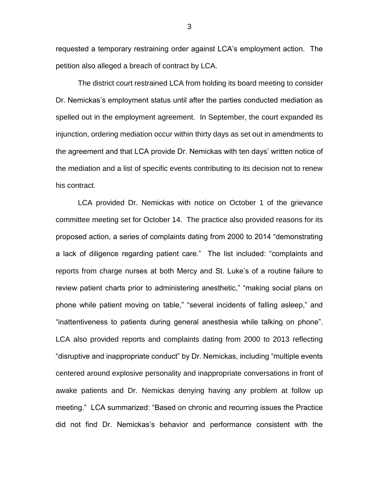requested a temporary restraining order against LCA's employment action. The petition also alleged a breach of contract by LCA.

The district court restrained LCA from holding its board meeting to consider Dr. Nemickas's employment status until after the parties conducted mediation as spelled out in the employment agreement. In September, the court expanded its injunction, ordering mediation occur within thirty days as set out in amendments to the agreement and that LCA provide Dr. Nemickas with ten days' written notice of the mediation and a list of specific events contributing to its decision not to renew his contract.

LCA provided Dr. Nemickas with notice on October 1 of the grievance committee meeting set for October 14. The practice also provided reasons for its proposed action, a series of complaints dating from 2000 to 2014 "demonstrating a lack of diligence regarding patient care." The list included: "complaints and reports from charge nurses at both Mercy and St. Luke's of a routine failure to review patient charts prior to administering anesthetic," "making social plans on phone while patient moving on table," "several incidents of falling asleep," and "inattentiveness to patients during general anesthesia while talking on phone". LCA also provided reports and complaints dating from 2000 to 2013 reflecting "disruptive and inappropriate conduct" by Dr. Nemickas, including "multiple events centered around explosive personality and inappropriate conversations in front of awake patients and Dr. Nemickas denying having any problem at follow up meeting." LCA summarized: "Based on chronic and recurring issues the Practice did not find Dr. Nemickas's behavior and performance consistent with the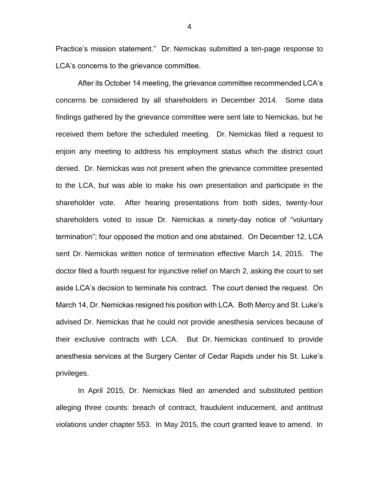Practice's mission statement." Dr. Nemickas submitted a ten-page response to LCA's concerns to the grievance committee.

After its October 14 meeting, the grievance committee recommended LCA's concerns be considered by all shareholders in December 2014. Some data findings gathered by the grievance committee were sent late to Nemickas, but he received them before the scheduled meeting. Dr. Nemickas filed a request to enjoin any meeting to address his employment status which the district court denied. Dr. Nemickas was not present when the grievance committee presented to the LCA, but was able to make his own presentation and participate in the shareholder vote. After hearing presentations from both sides, twenty-four shareholders voted to issue Dr. Nemickas a ninety-day notice of "voluntary termination"; four opposed the motion and one abstained. On December 12, LCA sent Dr. Nemickas written notice of termination effective March 14, 2015. The doctor filed a fourth request for injunctive relief on March 2, asking the court to set aside LCA's decision to terminate his contract. The court denied the request. On March 14, Dr. Nemickas resigned his position with LCA. Both Mercy and St. Luke's advised Dr. Nemickas that he could not provide anesthesia services because of their exclusive contracts with LCA. But Dr. Nemickas continued to provide anesthesia services at the Surgery Center of Cedar Rapids under his St. Luke's privileges.

In April 2015, Dr. Nemickas filed an amended and substituted petition alleging three counts: breach of contract, fraudulent inducement, and antitrust violations under chapter 553. In May 2015, the court granted leave to amend. In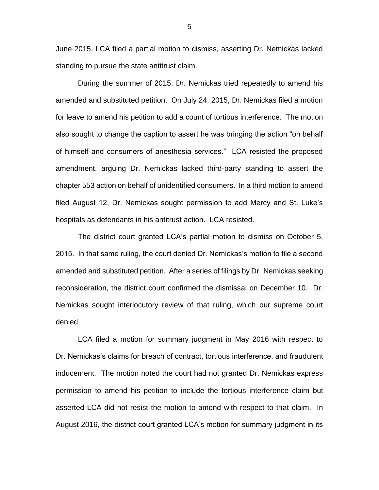June 2015, LCA filed a partial motion to dismiss, asserting Dr. Nemickas lacked standing to pursue the state antitrust claim.

During the summer of 2015, Dr. Nemickas tried repeatedly to amend his amended and substituted petition. On July 24, 2015, Dr. Nemickas filed a motion for leave to amend his petition to add a count of tortious interference. The motion also sought to change the caption to assert he was bringing the action "on behalf of himself and consumers of anesthesia services." LCA resisted the proposed amendment, arguing Dr. Nemickas lacked third-party standing to assert the chapter 553 action on behalf of unidentified consumers. In a third motion to amend filed August 12, Dr. Nemickas sought permission to add Mercy and St. Luke's hospitals as defendants in his antitrust action. LCA resisted.

The district court granted LCA's partial motion to dismiss on October 5, 2015. In that same ruling, the court denied Dr. Nemickas's motion to file a second amended and substituted petition. After a series of filings by Dr. Nemickas seeking reconsideration, the district court confirmed the dismissal on December 10. Dr. Nemickas sought interlocutory review of that ruling, which our supreme court denied.

LCA filed a motion for summary judgment in May 2016 with respect to Dr. Nemickas's claims for breach of contract, tortious interference, and fraudulent inducement. The motion noted the court had not granted Dr. Nemickas express permission to amend his petition to include the tortious interference claim but asserted LCA did not resist the motion to amend with respect to that claim. In August 2016, the district court granted LCA's motion for summary judgment in its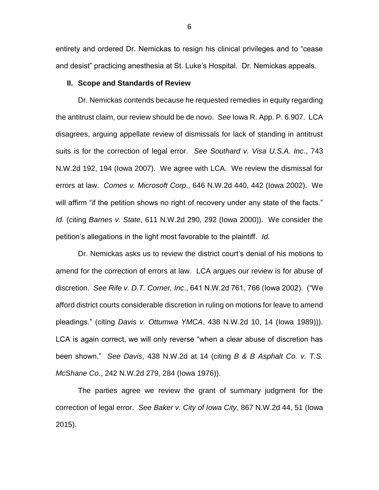entirety and ordered Dr. Nemickas to resign his clinical privileges and to "cease and desist" practicing anesthesia at St. Luke's Hospital. Dr. Nemickas appeals.

#### **II. Scope and Standards of Review**

Dr. Nemickas contends because he requested remedies in equity regarding the antitrust claim, our review should be de novo. *See* Iowa R. App. P. 6.907. LCA disagrees, arguing appellate review of dismissals for lack of standing in antitrust suits is for the correction of legal error. *See Southard v. Visa U.S.A. Inc*., 743 N.W.2d 192, 194 (Iowa 2007). We agree with LCA. We review the dismissal for errors at law. *Comes v. Microsoft Corp*., 646 N.W.2d 440, 442 (Iowa 2002). We will affirm "if the petition shows no right of recovery under any state of the facts." *Id.* (citing *Barnes v. State*, 611 N.W.2d 290, 292 (Iowa 2000)). We consider the petition's allegations in the light most favorable to the plaintiff. *Id.*

Dr. Nemickas asks us to review the district court's denial of his motions to amend for the correction of errors at law. LCA argues our review is for abuse of discretion. *See Rife v. D.T. Corner, Inc*., 641 N.W.2d 761, 766 (Iowa 2002). ("We afford district courts considerable discretion in ruling on motions for leave to amend pleadings." (citing *Davis v. Ottumwa YMCA*, 438 N.W.2d 10, 14 (Iowa 1989))). LCA is again correct, we will only reverse "when a clear abuse of discretion has been shown." *See Davis*, 438 N.W.2d at 14 (citing *B & B Asphalt Co. v. T.S. McShane Co.*, 242 N.W.2d 279, 284 (Iowa 1976)).

The parties agree we review the grant of summary judgment for the correction of legal error. *See Baker v. City of Iowa City*, 867 N.W.2d 44, 51 (Iowa 2015).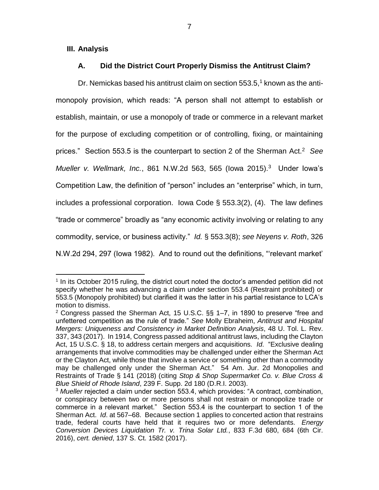### **III. Analysis**

 $\overline{a}$ 

### **A. Did the District Court Properly Dismiss the Antitrust Claim?**

Dr. Nemickas based his antitrust claim on section  $553.5$ <sup>1</sup> known as the antimonopoly provision, which reads: "A person shall not attempt to establish or establish, maintain, or use a monopoly of trade or commerce in a relevant market for the purpose of excluding competition or of controlling, fixing, or maintaining prices." Section 553.5 is the counterpart to section 2 of the Sherman Act.<sup>2</sup> *See Mueller v. Wellmark, Inc.*, 861 N.W.2d 563, 565 (lowa 2015).<sup>3</sup> Under lowa's Competition Law, the definition of "person" includes an "enterprise" which, in turn, includes a professional corporation. Iowa Code § 553.3(2), (4). The law defines "trade or commerce" broadly as "any economic activity involving or relating to any commodity, service, or business activity." *Id.* § 553.3(8); *see Neyens v. Roth*, 326 N.W.2d 294, 297 (Iowa 1982). And to round out the definitions, "'relevant market'

 $<sup>1</sup>$  In its October 2015 ruling, the district court noted the doctor's amended petition did not</sup> specify whether he was advancing a claim under section 553.4 (Restraint prohibited) or 553.5 (Monopoly prohibited) but clarified it was the latter in his partial resistance to LCA's motion to dismiss.

<sup>&</sup>lt;sup>2</sup> Congress passed the Sherman Act, 15 U.S.C.  $\S$ § 1–7, in 1890 to preserve "free and unfettered competition as the rule of trade." *See* Molly Ebraheim, *Antitrust and Hospital Mergers: Uniqueness and Consistency in Market Definition Analysis*, 48 U. Tol. L. Rev. 337, 343 (2017). In 1914, Congress passed additional antitrust laws, including the Clayton Act, 15 U.S.C. § 18, to address certain mergers and acquisitions. *Id*. "Exclusive dealing arrangements that involve commodities may be challenged under either the Sherman Act or the Clayton Act, while those that involve a service or something other than a commodity may be challenged only under the Sherman Act." 54 Am. Jur. 2d Monopolies and Restraints of Trade § 141 (2018) (citing *Stop & Shop Supermarket Co. v. Blue Cross & Blue Shield of Rhode Island*, 239 F. Supp. 2d 180 (D.R.I. 2003).

<sup>3</sup> *Mueller* rejected a claim under section 553.4, which provides: "A contract, combination, or conspiracy between two or more persons shall not restrain or monopolize trade or commerce in a relevant market." Section 553.4 is the counterpart to section 1 of the Sherman Act. *Id*. at 567–68. Because section 1 applies to concerted action that restrains trade, federal courts have held that it requires two or more defendants. *Energy Conversion Devices Liquidation Tr. v. Trina Solar Ltd.*, 833 F.3d 680, 684 (6th Cir. 2016), *cert. denied*, 137 S. Ct. 1582 (2017).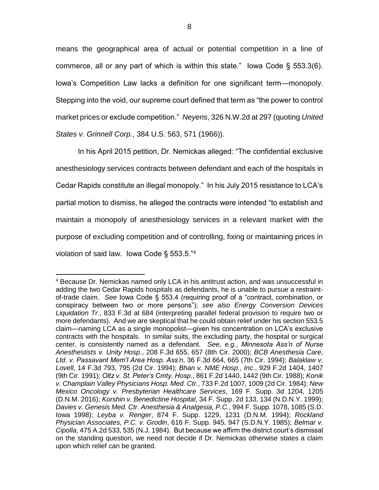means the geographical area of actual or potential competition in a line of commerce, all or any part of which is within this state." lowa Code  $\S$  553.3(6). Iowa's Competition Law lacks a definition for one significant term—monopoly. Stepping into the void, our supreme court defined that term as "the power to control market prices or exclude competition." *Neyens*, 326 N.W.2d at 297 (quoting *United States v. Grinnell Corp.*, 384 U.S. 563, 571 (1966)).

In his April 2015 petition, Dr. Nemickas alleged: "The confidential exclusive anesthesiology services contracts between defendant and each of the hospitals in Cedar Rapids constitute an illegal monopoly." In his July 2015 resistance to LCA's partial motion to dismiss, he alleged the contracts were intended "to establish and maintain a monopoly of anesthesiology services in a relevant market with the purpose of excluding competition and of controlling, fixing or maintaining prices in violation of said law. Iowa Code § 553.5."<sup>4</sup>

 $\overline{a}$ <sup>4</sup> Because Dr. Nemickas named only LCA in his antitrust action, and was unsuccessful in adding the two Cedar Rapids hospitals as defendants, he is unable to pursue a restraintof-trade claim. *See* Iowa Code § 553.4 (requiring proof of a "contract, combination, or conspiracy between two or more persons"); *see also Energy Conversion Devices Liquidation Tr.*, 833 F.3d at 684 (interpreting parallel federal provision to require two or more defendants). And we are skeptical that he could obtain relief under his section 553.5 claim—naming LCA as a single monopolist—given his concentration on LCA's exclusive contracts with the hospitals. In similar suits, the excluding party, the hospital or surgical center, is consistently named as a defendant. *See, e.g.*, *Minnesota Ass'n of Nurse Anesthestists v. Unity Hosp.*, 208 F.3d 655, 657 (8th Cir. 2000); *BCB Anesthesia Care, Ltd. v. Passavant Mem'l Area Hosp. Ass'n*, 36 F.3d 664, 665 (7th Cir. 1994); *Balaklaw v. Lovell*, 14 F.3d 793, 795 (2d Cir. 1994); *Bhan v. NME Hosp., Inc*., 929 F.2d 1404, 1407 (9th Cir. 1991); *Oltz v. St. Peter's Cmty. Hosp*., 861 F.2d 1440, 1442 (9th Cir. 1988); *Konik v. Champlain Valley Physicians Hosp. Med. Ctr.*, 733 F.2d 1007, 1009 (2d Cir. 1984); *New Mexico Oncology v. Presbyterian Healthcare Services*, 169 F. Supp. 3d 1204, 1205 (D.N.M. 2016); *Korshin v. Benedictine Hospital*, 34 F. Supp. 2d 133, 134 (N.D.N.Y. 1999); *Davies v. Genesis Med. Ctr. Anesthesia & Analgesia, P.C.*, 994 F. Supp. 1078, 1085 (S.D. Iowa 1998); *Leyba v. Renger*, 874 F. Supp. 1229, 1231 (D.N.M. 1994); *Rockland Physician Associates, P.C. v. Grodin*, 616 F. Supp. 945, 947 (S.D.N.Y. 1985); *Belmar v. Cipolla*, 475 A.2d 533, 535 (N.J. 1984). But because we affirm the district court's dismissal on the standing question, we need not decide if Dr. Nemickas otherwise states a claim upon which relief can be granted.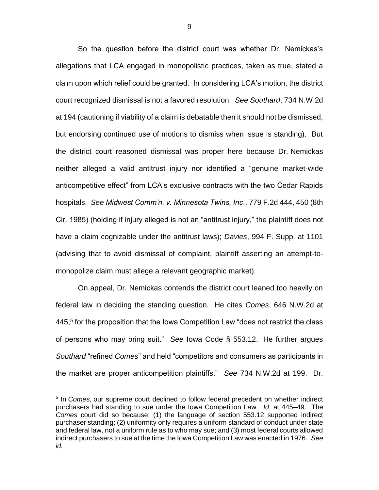So the question before the district court was whether Dr. Nemickas's allegations that LCA engaged in monopolistic practices, taken as true, stated a claim upon which relief could be granted. In considering LCA's motion, the district court recognized dismissal is not a favored resolution. *See Southard*, 734 N.W.2d at 194 (cautioning if viability of a claim is debatable then it should not be dismissed, but endorsing continued use of motions to dismiss when issue is standing). But the district court reasoned dismissal was proper here because Dr. Nemickas neither alleged a valid antitrust injury nor identified a "genuine market-wide anticompetitive effect" from LCA's exclusive contracts with the two Cedar Rapids hospitals. *See Midwest Comm'n. v. Minnesota Twins, Inc*., 779 F.2d 444, 450 (8th Cir. 1985) (holding if injury alleged is not an "antitrust injury," the plaintiff does not have a claim cognizable under the antitrust laws); *Davies*, 994 F. Supp. at 1101 (advising that to avoid dismissal of complaint, plaintiff asserting an attempt-tomonopolize claim must allege a relevant geographic market).

On appeal, Dr. Nemickas contends the district court leaned too heavily on federal law in deciding the standing question. He cites *Comes*, 646 N.W.2d at  $445<sup>5</sup>$  for the proposition that the Iowa Competition Law "does not restrict the class of persons who may bring suit." *See* Iowa Code § 553.12. He further argues *Southard* "refined *Comes*" and held "competitors and consumers as participants in the market are proper anticompetition plaintiffs." *See* 734 N.W.2d at 199. Dr.

<sup>&</sup>lt;sup>5</sup> In *Comes*, our supreme court declined to follow federal precedent on whether indirect purchasers had standing to sue under the Iowa Competition Law. *Id*. at 445–49. The *Comes* court did so because: (1) the language of section 553.12 supported indirect purchaser standing; (2) uniformity only requires a uniform standard of conduct under state and federal law, not a uniform rule as to who may sue; and (3) most federal courts allowed indirect purchasers to sue at the time the Iowa Competition Law was enacted in 1976. *See id.*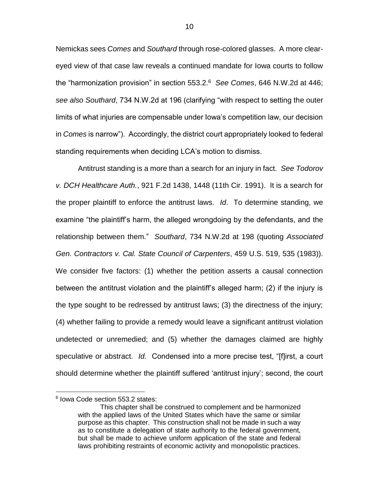Nemickas sees *Comes* and *Southard* through rose-colored glasses. A more cleareyed view of that case law reveals a continued mandate for Iowa courts to follow the "harmonization provision" in section 553.2.<sup>6</sup> *See Comes*, 646 N.W.2d at 446; *see also Southard*, 734 N.W.2d at 196 (clarifying "with respect to setting the outer limits of what injuries are compensable under Iowa's competition law, our decision in *Comes* is narrow"). Accordingly, the district court appropriately looked to federal standing requirements when deciding LCA's motion to dismiss.

Antitrust standing is a more than a search for an injury in fact. *See Todorov v. DCH Healthcare Auth.*, 921 F.2d 1438, 1448 (11th Cir. 1991). It is a search for the proper plaintiff to enforce the antitrust laws. *Id*. To determine standing, we examine "the plaintiff's harm, the alleged wrongdoing by the defendants, and the relationship between them." *Southard*, 734 N.W.2d at 198 (quoting *Associated Gen. Contractors v. Cal. State Council of Carpenters*, 459 U.S. 519, 535 (1983)). We consider five factors: (1) whether the petition asserts a causal connection between the antitrust violation and the plaintiff's alleged harm; (2) if the injury is the type sought to be redressed by antitrust laws; (3) the directness of the injury; (4) whether failing to provide a remedy would leave a significant antitrust violation undetected or unremedied; and (5) whether the damages claimed are highly speculative or abstract. *Id.* Condensed into a more precise test, "[f]irst, a court should determine whether the plaintiff suffered 'antitrust injury'; second, the court

<sup>6</sup> Iowa Code section 553.2 states:

This chapter shall be construed to complement and be harmonized with the applied laws of the United States which have the same or similar purpose as this chapter. This construction shall not be made in such a way as to constitute a delegation of state authority to the federal government, but shall be made to achieve uniform application of the state and federal laws prohibiting restraints of economic activity and monopolistic practices.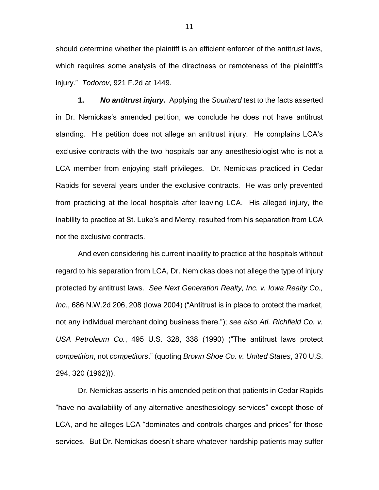should determine whether the plaintiff is an efficient enforcer of the antitrust laws, which requires some analysis of the directness or remoteness of the plaintiff's injury." *Todorov*, 921 F.2d at 1449.

**1.** *No antitrust injury.* Applying the *Southard* test to the facts asserted in Dr. Nemickas's amended petition, we conclude he does not have antitrust standing. His petition does not allege an antitrust injury. He complains LCA's exclusive contracts with the two hospitals bar any anesthesiologist who is not a LCA member from enjoying staff privileges. Dr. Nemickas practiced in Cedar Rapids for several years under the exclusive contracts. He was only prevented from practicing at the local hospitals after leaving LCA. His alleged injury, the inability to practice at St. Luke's and Mercy, resulted from his separation from LCA not the exclusive contracts.

And even considering his current inability to practice at the hospitals without regard to his separation from LCA, Dr. Nemickas does not allege the type of injury protected by antitrust laws. *See Next Generation Realty, Inc. v. Iowa Realty Co., Inc.*, 686 N.W.2d 206, 208 (Iowa 2004) ("Antitrust is in place to protect the market, not any individual merchant doing business there."); *see also Atl. Richfield Co. v. USA Petroleum Co.*, 495 U.S. 328, 338 (1990) ("The antitrust laws protect *competition*, not *competitors*." (quoting *Brown Shoe Co. v. United States*, 370 U.S. 294, 320 (1962))).

Dr. Nemickas asserts in his amended petition that patients in Cedar Rapids "have no availability of any alternative anesthesiology services" except those of LCA, and he alleges LCA "dominates and controls charges and prices" for those services. But Dr. Nemickas doesn't share whatever hardship patients may suffer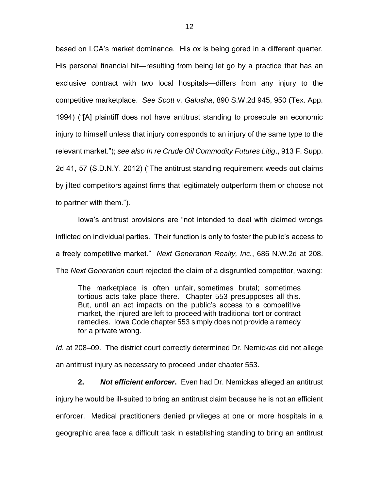based on LCA's market dominance. His ox is being gored in a different quarter. His personal financial hit—resulting from being let go by a practice that has an exclusive contract with two local hospitals—differs from any injury to the competitive marketplace. *See Scott v. Galusha*, 890 S.W.2d 945, 950 (Tex. App. 1994) ("[A] plaintiff does not have antitrust standing to prosecute an economic injury to himself unless that injury corresponds to an injury of the same type to the relevant market."); *see also In re Crude Oil Commodity Futures Litig*., 913 F. Supp. 2d 41, 57 (S.D.N.Y. 2012) ("The antitrust standing requirement weeds out claims by jilted competitors against firms that legitimately outperform them or choose not to partner with them.").

Iowa's antitrust provisions are "not intended to deal with claimed wrongs inflicted on individual parties. Their function is only to foster the public's access to a freely competitive market." *Next Generation Realty, Inc.*, 686 N.W.2d at 208. The *Next Generation* court rejected the claim of a disgruntled competitor, waxing:

The marketplace is often unfair, sometimes brutal; sometimes tortious acts take place there. Chapter 553 presupposes all this. But, until an act impacts on the public's access to a competitive market, the injured are left to proceed with traditional tort or contract remedies. Iowa Code chapter 553 simply does not provide a remedy for a private wrong.

*Id.* at 208–09. The district court correctly determined Dr. Nemickas did not allege an antitrust injury as necessary to proceed under chapter 553.

**2.** *Not efficient enforcer***.** Even had Dr. Nemickas alleged an antitrust injury he would be ill-suited to bring an antitrust claim because he is not an efficient enforcer. Medical practitioners denied privileges at one or more hospitals in a geographic area face a difficult task in establishing standing to bring an antitrust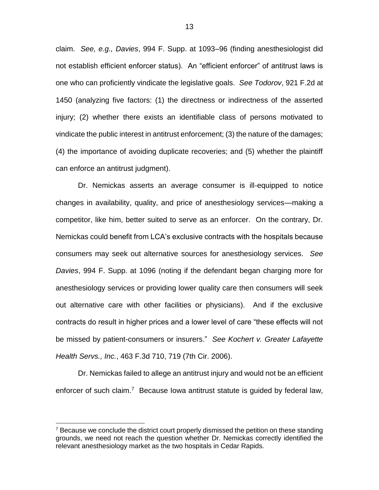claim. *See, e.g., Davies*, 994 F. Supp. at 1093–96 (finding anesthesiologist did not establish efficient enforcer status). An "efficient enforcer" of antitrust laws is one who can proficiently vindicate the legislative goals. *See Todorov*, 921 F.2d at 1450 (analyzing five factors: (1) the directness or indirectness of the asserted injury; (2) whether there exists an identifiable class of persons motivated to vindicate the public interest in antitrust enforcement; (3) the nature of the damages; (4) the importance of avoiding duplicate recoveries; and (5) whether the plaintiff can enforce an antitrust judgment).

Dr. Nemickas asserts an average consumer is ill-equipped to notice changes in availability, quality, and price of anesthesiology services—making a competitor, like him, better suited to serve as an enforcer. On the contrary, Dr. Nemickas could benefit from LCA's exclusive contracts with the hospitals because consumers may seek out alternative sources for anesthesiology services. *See Davies*, 994 F. Supp. at 1096 (noting if the defendant began charging more for anesthesiology services or providing lower quality care then consumers will seek out alternative care with other facilities or physicians). And if the exclusive contracts do result in higher prices and a lower level of care "these effects will not be missed by patient-consumers or insurers." *See Kochert v. Greater Lafayette Health Servs., Inc.*, 463 F.3d 710, 719 (7th Cir. 2006).

Dr. Nemickas failed to allege an antitrust injury and would not be an efficient enforcer of such claim.<sup>7</sup> Because Iowa antitrust statute is guided by federal law,

 $7$  Because we conclude the district court properly dismissed the petition on these standing grounds, we need not reach the question whether Dr. Nemickas correctly identified the relevant anesthesiology market as the two hospitals in Cedar Rapids.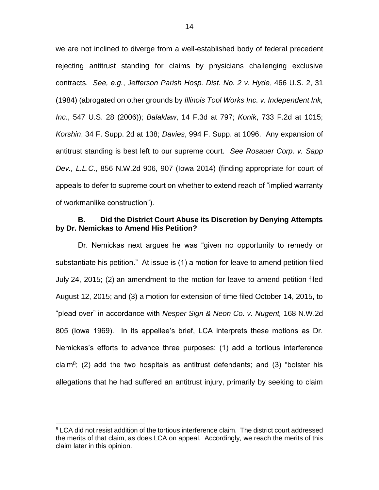we are not inclined to diverge from a well-established body of federal precedent rejecting antitrust standing for claims by physicians challenging exclusive contracts. *See, e.g.*, *Jefferson Parish Hosp. Dist. No. 2 v. Hyde*, 466 U.S. 2, 31 (1984) (abrogated on other grounds by *Illinois Tool Works Inc. v. Independent Ink, Inc.*, 547 U.S. 28 (2006)); *Balaklaw*, 14 F.3d at 797; *Konik*, 733 F.2d at 1015; *Korshin*, 34 F. Supp. 2d at 138; *Davies*, 994 F. Supp. at 1096. Any expansion of antitrust standing is best left to our supreme court. *See Rosauer Corp. v. Sapp Dev., L.L.C.*, 856 N.W.2d 906, 907 (Iowa 2014) (finding appropriate for court of appeals to defer to supreme court on whether to extend reach of "implied warranty of workmanlike construction").

### **B. Did the District Court Abuse its Discretion by Denying Attempts by Dr. Nemickas to Amend His Petition?**

Dr. Nemickas next argues he was "given no opportunity to remedy or substantiate his petition." At issue is (1) a motion for leave to amend petition filed July 24, 2015; (2) an amendment to the motion for leave to amend petition filed August 12, 2015; and (3) a motion for extension of time filed October 14, 2015, to "plead over" in accordance with *Nesper Sign & Neon Co. v. Nugent,* 168 N.W.2d 805 (Iowa 1969). In its appellee's brief, LCA interprets these motions as Dr. Nemickas's efforts to advance three purposes: (1) add a tortious interference claim<sup>8</sup>; (2) add the two hospitals as antitrust defendants; and (3) "bolster his allegations that he had suffered an antitrust injury, primarily by seeking to claim

<sup>&</sup>lt;sup>8</sup> LCA did not resist addition of the tortious interference claim. The district court addressed the merits of that claim, as does LCA on appeal. Accordingly, we reach the merits of this claim later in this opinion.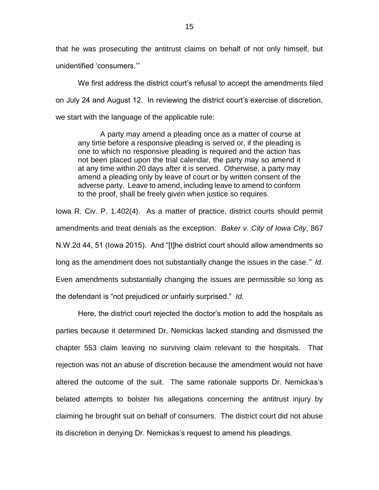that he was prosecuting the antitrust claims on behalf of not only himself, but unidentified 'consumers.'"

We first address the district court's refusal to accept the amendments filed on July 24 and August 12. In reviewing the district court's exercise of discretion, we start with the language of the applicable rule:

A party may amend a pleading once as a matter of course at any time before a responsive pleading is served or, if the pleading is one to which no responsive pleading is required and the action has not been placed upon the trial calendar, the party may so amend it at any time within 20 days after it is served. Otherwise, a party may amend a pleading only by leave of court or by written consent of the adverse party. Leave to amend, including leave to amend to conform to the proof, shall be freely given when justice so requires.

Iowa R. Civ. P. 1.402(4). As a matter of practice, district courts should permit amendments and treat denials as the exception. *Baker v. City of Iowa City*, 867 N.W.2d 44, 51 (Iowa 2015). And "[t]he district court should allow amendments so long as the amendment does not substantially change the issues in the case*." Id.* Even amendments substantially changing the issues are permissible so long as the defendant is "not prejudiced or unfairly surprised." *Id.*

Here, the district court rejected the doctor's motion to add the hospitals as parties because it determined Dr. Nemickas lacked standing and dismissed the chapter 553 claim leaving no surviving claim relevant to the hospitals. That rejection was not an abuse of discretion because the amendment would not have altered the outcome of the suit. The same rationale supports Dr. Nemickas's belated attempts to bolster his allegations concerning the antitrust injury by claiming he brought suit on behalf of consumers. The district court did not abuse its discretion in denying Dr. Nemickas's request to amend his pleadings.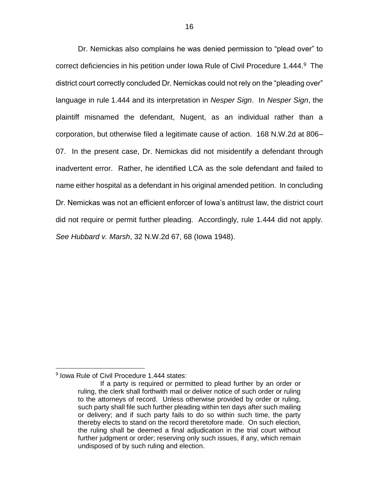Dr. Nemickas also complains he was denied permission to "plead over" to correct deficiencies in his petition under Iowa Rule of Civil Procedure 1.444.<sup>9</sup> The district court correctly concluded Dr. Nemickas could not rely on the "pleading over" language in rule 1.444 and its interpretation in *Nesper Sign*. In *Nesper Sign*, the plaintiff misnamed the defendant, Nugent, as an individual rather than a corporation, but otherwise filed a legitimate cause of action. 168 N.W.2d at 806– 07. In the present case, Dr. Nemickas did not misidentify a defendant through inadvertent error. Rather, he identified LCA as the sole defendant and failed to name either hospital as a defendant in his original amended petition. In concluding Dr. Nemickas was not an efficient enforcer of Iowa's antitrust law, the district court did not require or permit further pleading. Accordingly, rule 1.444 did not apply. *See Hubbard v. Marsh*, 32 N.W.2d 67, 68 (Iowa 1948).

<sup>9</sup> Iowa Rule of Civil Procedure 1.444 states:

If a party is required or permitted to plead further by an order or ruling, the clerk shall forthwith mail or deliver notice of such order or ruling to the attorneys of record. Unless otherwise provided by order or ruling, such party shall file such further pleading within ten days after such mailing or delivery; and if such party fails to do so within such time, the party thereby elects to stand on the record theretofore made. On such election, the ruling shall be deemed a final adjudication in the trial court without further judgment or order; reserving only such issues, if any, which remain undisposed of by such ruling and election.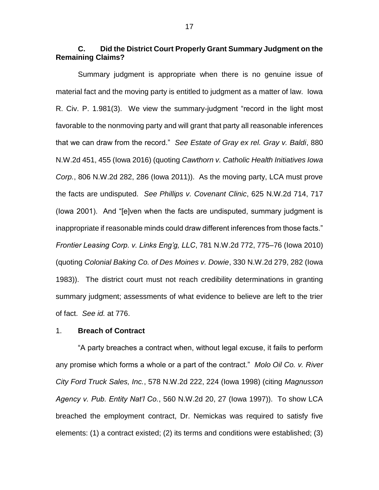## **C. Did the District Court Properly Grant Summary Judgment on the Remaining Claims?**

Summary judgment is appropriate when there is no genuine issue of material fact and the moving party is entitled to judgment as a matter of law. Iowa R. Civ. P. 1.981(3). We view the summary-judgment "record in the light most favorable to the nonmoving party and will grant that party all reasonable inferences that we can draw from the record." *See Estate of Gray ex rel. Gray v. Baldi*, 880 N.W.2d 451, 455 (Iowa 2016) (quoting *Cawthorn v. Catholic Health Initiatives Iowa Corp.*, 806 N.W.2d 282, 286 (Iowa 2011)). As the moving party, LCA must prove the facts are undisputed. *See Phillips v. Covenant Clinic*, 625 N.W.2d 714, 717 (Iowa 2001). And "[e]ven when the facts are undisputed, summary judgment is inappropriate if reasonable minds could draw different inferences from those facts." *Frontier Leasing Corp. v. Links Eng'g, LLC*, 781 N.W.2d 772, 775–76 (Iowa 2010) (quoting *Colonial Baking Co. of Des Moines v. Dowie*, 330 N.W.2d 279, 282 (Iowa 1983)). The district court must not reach credibility determinations in granting summary judgment; assessments of what evidence to believe are left to the trier of fact. *See id.* at 776.

#### 1. **Breach of Contract**

"A party breaches a contract when, without legal excuse, it fails to perform any promise which forms a whole or a part of the contract." *Molo Oil Co. v. River City Ford Truck Sales, Inc.*, 578 N.W.2d 222, 224 (Iowa 1998) (citing *Magnusson Agency v. Pub. Entity Nat'l Co.*, 560 N.W.2d 20, 27 (Iowa 1997)). To show LCA breached the employment contract, Dr. Nemickas was required to satisfy five elements: (1) a contract existed; (2) its terms and conditions were established; (3)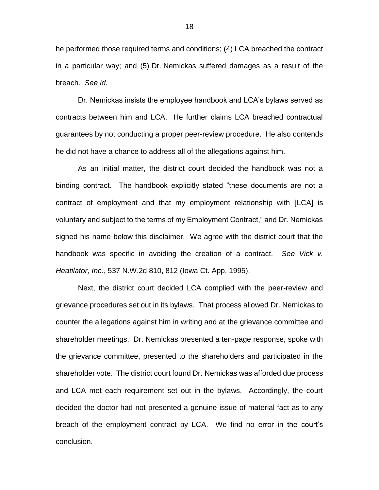he performed those required terms and conditions; (4) LCA breached the contract in a particular way; and (5) Dr. Nemickas suffered damages as a result of the breach. *See id.*

Dr. Nemickas insists the employee handbook and LCA's bylaws served as contracts between him and LCA. He further claims LCA breached contractual guarantees by not conducting a proper peer-review procedure. He also contends he did not have a chance to address all of the allegations against him.

As an initial matter, the district court decided the handbook was not a binding contract. The handbook explicitly stated "these documents are not a contract of employment and that my employment relationship with [LCA] is voluntary and subject to the terms of my Employment Contract," and Dr. Nemickas signed his name below this disclaimer. We agree with the district court that the handbook was specific in avoiding the creation of a contract. *See Vick v. Heatilator, Inc.*, 537 N.W.2d 810, 812 (Iowa Ct. App. 1995).

Next, the district court decided LCA complied with the peer-review and grievance procedures set out in its bylaws. That process allowed Dr. Nemickas to counter the allegations against him in writing and at the grievance committee and shareholder meetings. Dr. Nemickas presented a ten-page response, spoke with the grievance committee, presented to the shareholders and participated in the shareholder vote. The district court found Dr. Nemickas was afforded due process and LCA met each requirement set out in the bylaws. Accordingly, the court decided the doctor had not presented a genuine issue of material fact as to any breach of the employment contract by LCA. We find no error in the court's conclusion.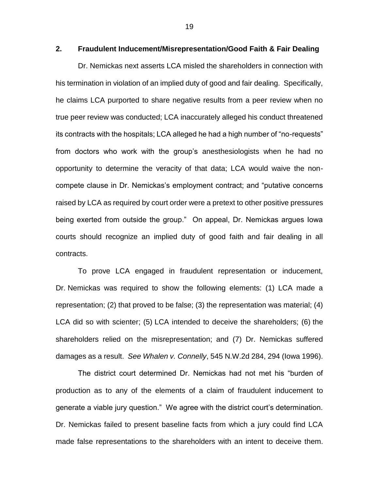```
2. Fraudulent Inducement/Misrepresentation/Good Faith & Fair Dealing
```
Dr. Nemickas next asserts LCA misled the shareholders in connection with his termination in violation of an implied duty of good and fair dealing. Specifically, he claims LCA purported to share negative results from a peer review when no true peer review was conducted; LCA inaccurately alleged his conduct threatened its contracts with the hospitals; LCA alleged he had a high number of "no-requests" from doctors who work with the group's anesthesiologists when he had no opportunity to determine the veracity of that data; LCA would waive the noncompete clause in Dr. Nemickas's employment contract; and "putative concerns raised by LCA as required by court order were a pretext to other positive pressures being exerted from outside the group." On appeal, Dr. Nemickas argues Iowa courts should recognize an implied duty of good faith and fair dealing in all contracts.

To prove LCA engaged in fraudulent representation or inducement, Dr. Nemickas was required to show the following elements: (1) LCA made a representation; (2) that proved to be false; (3) the representation was material; (4) LCA did so with scienter; (5) LCA intended to deceive the shareholders; (6) the shareholders relied on the misrepresentation; and (7) Dr. Nemickas suffered damages as a result. *See Whalen v. Connelly*, 545 N.W.2d 284, 294 (Iowa 1996).

The district court determined Dr. Nemickas had not met his "burden of production as to any of the elements of a claim of fraudulent inducement to generate a viable jury question." We agree with the district court's determination. Dr. Nemickas failed to present baseline facts from which a jury could find LCA made false representations to the shareholders with an intent to deceive them.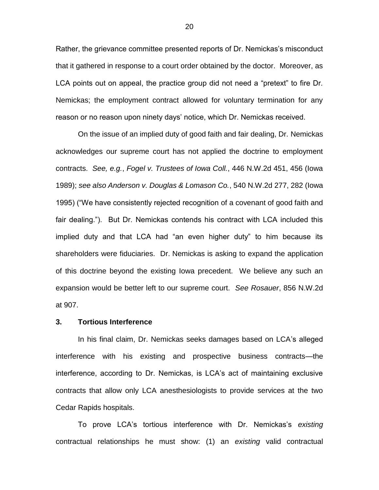Rather, the grievance committee presented reports of Dr. Nemickas's misconduct that it gathered in response to a court order obtained by the doctor. Moreover, as LCA points out on appeal, the practice group did not need a "pretext" to fire Dr. Nemickas; the employment contract allowed for voluntary termination for any reason or no reason upon ninety days' notice, which Dr. Nemickas received.

On the issue of an implied duty of good faith and fair dealing, Dr. Nemickas acknowledges our supreme court has not applied the doctrine to employment contracts. *See, e.g.*, *Fogel v. Trustees of Iowa Coll.*, 446 N.W.2d 451, 456 (Iowa 1989); *see also Anderson v. Douglas & Lomason Co.*, 540 N.W.2d 277, 282 (Iowa 1995) ("We have consistently rejected recognition of a covenant of good faith and fair dealing."). But Dr. Nemickas contends his contract with LCA included this implied duty and that LCA had "an even higher duty" to him because its shareholders were fiduciaries. Dr. Nemickas is asking to expand the application of this doctrine beyond the existing Iowa precedent. We believe any such an expansion would be better left to our supreme court. *See Rosauer*, 856 N.W.2d at 907.

#### **3. Tortious Interference**

In his final claim, Dr. Nemickas seeks damages based on LCA's alleged interference with his existing and prospective business contracts—the interference, according to Dr. Nemickas, is LCA's act of maintaining exclusive contracts that allow only LCA anesthesiologists to provide services at the two Cedar Rapids hospitals.

To prove LCA's tortious interference with Dr. Nemickas's *existing*  contractual relationships he must show: (1) an *existing* valid contractual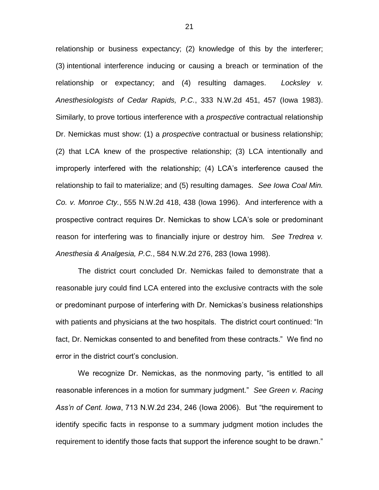relationship or business expectancy; (2) knowledge of this by the interferer; (3) intentional interference inducing or causing a breach or termination of the relationship or expectancy; and (4) resulting damages. *Locksley v. Anesthesiologists of Cedar Rapids, P.C.*, 333 N.W.2d 451, 457 (Iowa 1983). Similarly, to prove tortious interference with a *prospective* contractual relationship Dr. Nemickas must show: (1) a *prospective* contractual or business relationship; (2) that LCA knew of the prospective relationship; (3) LCA intentionally and improperly interfered with the relationship; (4) LCA's interference caused the relationship to fail to materialize; and (5) resulting damages. *See Iowa Coal Min. Co. v. Monroe Cty.*, 555 N.W.2d 418, 438 (Iowa 1996). And interference with a prospective contract requires Dr. Nemickas to show LCA's sole or predominant reason for interfering was to financially injure or destroy him. *See Tredrea v. Anesthesia & Analgesia, P.C.*, 584 N.W.2d 276, 283 (Iowa 1998).

The district court concluded Dr. Nemickas failed to demonstrate that a reasonable jury could find LCA entered into the exclusive contracts with the sole or predominant purpose of interfering with Dr. Nemickas's business relationships with patients and physicians at the two hospitals. The district court continued: "In fact, Dr. Nemickas consented to and benefited from these contracts." We find no error in the district court's conclusion.

We recognize Dr. Nemickas, as the nonmoving party, "is entitled to all reasonable inferences in a motion for summary judgment." *See Green v. Racing Ass'n of Cent. Iowa*, 713 N.W.2d 234, 246 (Iowa 2006). But "the requirement to identify specific facts in response to a summary judgment motion includes the requirement to identify those facts that support the inference sought to be drawn."